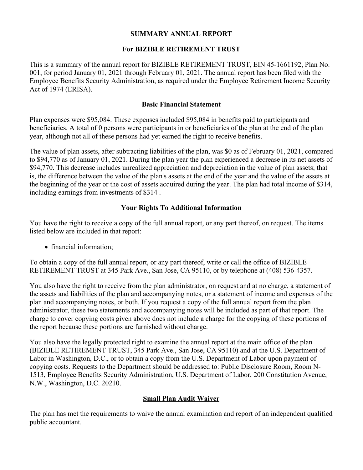## **SUMMARY ANNUAL REPORT**

## **For BIZIBLE RETIREMENT TRUST**

This is a summary of the annual report for BIZIBLE RETIREMENT TRUST, EIN 45-1661192, Plan No. 001, for period January 01, 2021 through February 01, 2021. The annual report has been filed with the Employee Benefits Security Administration, as required under the Employee Retirement Income Security Act of 1974 (ERISA).

### **Basic Financial Statement**

Plan expenses were \$95,084. These expenses included \$95,084 in benefits paid to participants and beneficiaries. A total of 0 persons were participants in or beneficiaries of the plan at the end of the plan year, although not all of these persons had yet earned the right to receive benefits.

The value of plan assets, after subtracting liabilities of the plan, was \$0 as of February 01, 2021, compared to \$94,770 as of January 01, 2021. During the plan year the plan experienced a decrease in its net assets of \$94,770. This decrease includes unrealized appreciation and depreciation in the value of plan assets; that is, the difference between the value of the plan's assets at the end of the year and the value of the assets at the beginning of the year or the cost of assets acquired during the year. The plan had total income of \$314, including earnings from investments of \$314 .

# **Your Rights To Additional Information**

You have the right to receive a copy of the full annual report, or any part thereof, on request. The items listed below are included in that report:

• financial information;

To obtain a copy of the full annual report, or any part thereof, write or call the office of BIZIBLE RETIREMENT TRUST at 345 Park Ave., San Jose, CA 95110, or by telephone at (408) 536-4357.

You also have the right to receive from the plan administrator, on request and at no charge, a statement of the assets and liabilities of the plan and accompanying notes, or a statement of income and expenses of the plan and accompanying notes, or both. If you request a copy of the full annual report from the plan administrator, these two statements and accompanying notes will be included as part of that report. The charge to cover copying costs given above does not include a charge for the copying of these portions of the report because these portions are furnished without charge.

You also have the legally protected right to examine the annual report at the main office of the plan (BIZIBLE RETIREMENT TRUST, 345 Park Ave., San Jose, CA 95110) and at the U.S. Department of Labor in Washington, D.C., or to obtain a copy from the U.S. Department of Labor upon payment of copying costs. Requests to the Department should be addressed to: Public Disclosure Room, Room N-1513, Employee Benefits Security Administration, U.S. Department of Labor, 200 Constitution Avenue, N.W., Washington, D.C. 20210.

# **Small Plan Audit Waiver**

The plan has met the requirements to waive the annual examination and report of an independent qualified public accountant.